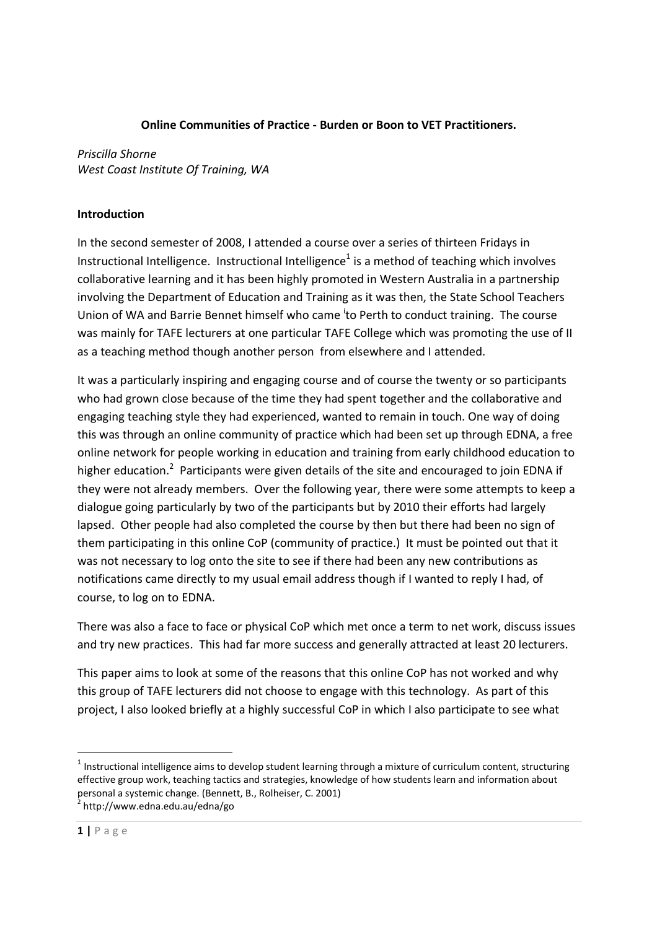#### Online Communities of Practice - Burden or Boon to VET Practitioners.

Priscilla Shorne West Coast Institute Of Training, WA

## Introduction

In the second semester of 2008, I attended a course over a series of thirteen Fridays in Instructional Intelligence. Instructional Intelligence<sup>1</sup> is a method of teaching which involves collaborative learning and it has been highly promoted in Western Australia in a partnership involving the Department of Education and Training as it was then, the State School Teachers Union of WA and Barrie Bennet himself who came to Perth to conduct training. The course was mainly for TAFE lecturers at one particular TAFE College which was promoting the use of II as a teaching method though another person from elsewhere and I attended.

It was a particularly inspiring and engaging course and of course the twenty or so participants who had grown close because of the time they had spent together and the collaborative and engaging teaching style they had experienced, wanted to remain in touch. One way of doing this was through an online community of practice which had been set up through EDNA, a free online network for people working in education and training from early childhood education to higher education.<sup>2</sup> Participants were given details of the site and encouraged to join EDNA if they were not already members. Over the following year, there were some attempts to keep a dialogue going particularly by two of the participants but by 2010 their efforts had largely lapsed. Other people had also completed the course by then but there had been no sign of them participating in this online CoP (community of practice.) It must be pointed out that it was not necessary to log onto the site to see if there had been any new contributions as notifications came directly to my usual email address though if I wanted to reply I had, of course, to log on to EDNA.

There was also a face to face or physical CoP which met once a term to net work, discuss issues and try new practices. This had far more success and generally attracted at least 20 lecturers.

This paper aims to look at some of the reasons that this online CoP has not worked and why this group of TAFE lecturers did not choose to engage with this technology. As part of this project, I also looked briefly at a highly successful CoP in which I also participate to see what

<u>.</u>

 $1$  Instructional intelligence aims to develop student learning through a mixture of curriculum content, structuring effective group work, teaching tactics and strategies, knowledge of how students learn and information about personal a systemic change. (Bennett, B., Rolheiser, C. 2001)<br><sup>2</sup> http://www.edna.edu.au/edna/go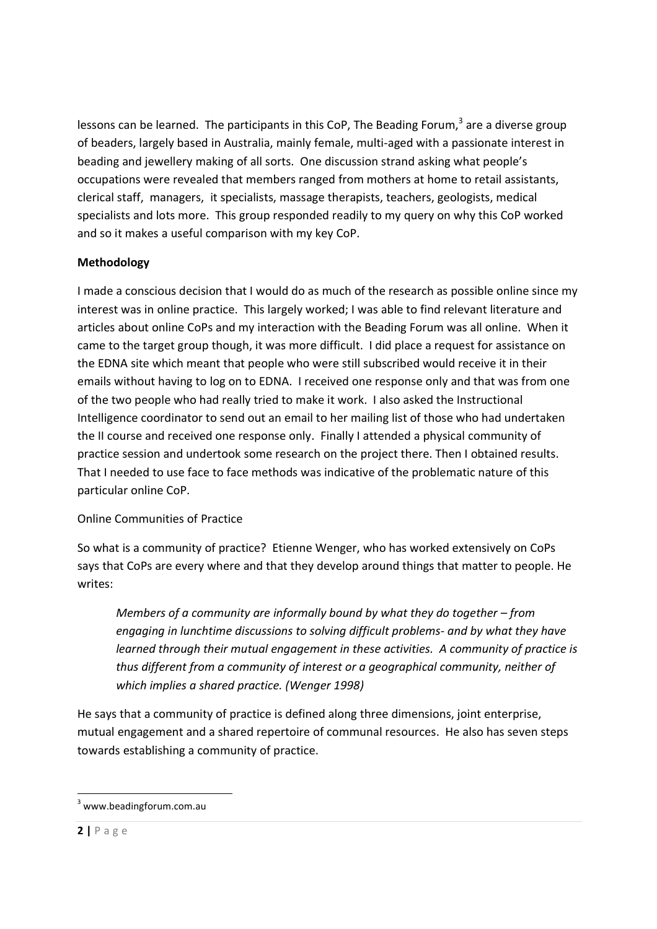lessons can be learned. The participants in this CoP, The Beading Forum,<sup>3</sup> are a diverse group of beaders, largely based in Australia, mainly female, multi-aged with a passionate interest in beading and jewellery making of all sorts. One discussion strand asking what people's occupations were revealed that members ranged from mothers at home to retail assistants, clerical staff, managers, it specialists, massage therapists, teachers, geologists, medical specialists and lots more. This group responded readily to my query on why this CoP worked and so it makes a useful comparison with my key CoP.

# Methodology

I made a conscious decision that I would do as much of the research as possible online since my interest was in online practice. This largely worked; I was able to find relevant literature and articles about online CoPs and my interaction with the Beading Forum was all online. When it came to the target group though, it was more difficult. I did place a request for assistance on the EDNA site which meant that people who were still subscribed would receive it in their emails without having to log on to EDNA. I received one response only and that was from one of the two people who had really tried to make it work. I also asked the Instructional Intelligence coordinator to send out an email to her mailing list of those who had undertaken the II course and received one response only. Finally I attended a physical community of practice session and undertook some research on the project there. Then I obtained results. That I needed to use face to face methods was indicative of the problematic nature of this particular online CoP.

## Online Communities of Practice

So what is a community of practice? Etienne Wenger, who has worked extensively on CoPs says that CoPs are every where and that they develop around things that matter to people. He writes:

Members of a community are informally bound by what they do together – from engaging in lunchtime discussions to solving difficult problems- and by what they have learned through their mutual engagement in these activities. A community of practice is thus different from a community of interest or a geographical community, neither of which implies a shared practice. (Wenger 1998)

He says that a community of practice is defined along three dimensions, joint enterprise, mutual engagement and a shared repertoire of communal resources. He also has seven steps towards establishing a community of practice.

.<br>-

<sup>&</sup>lt;sup>3</sup> www.beadingforum.com.au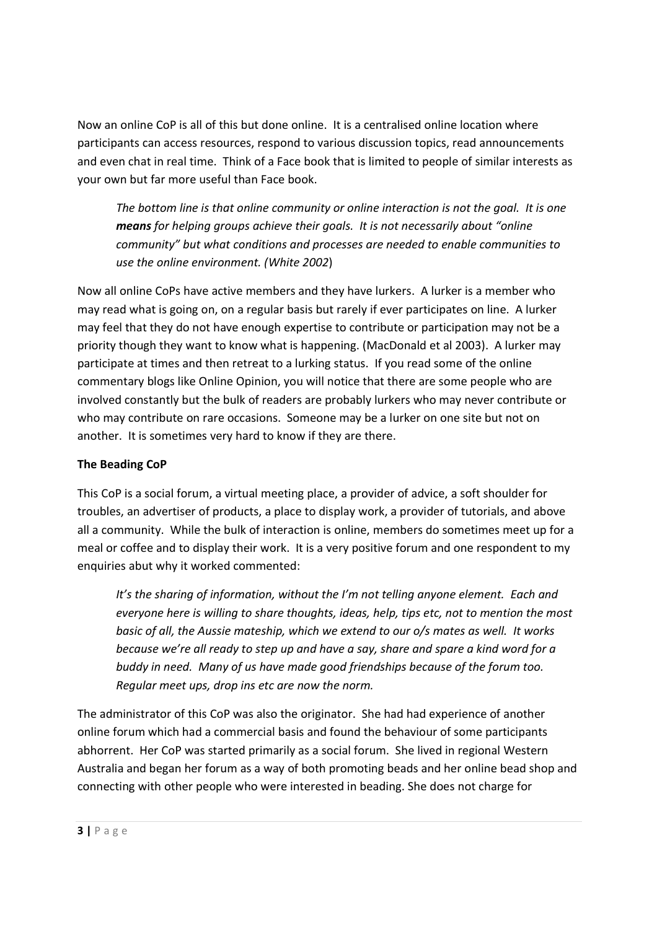Now an online CoP is all of this but done online. It is a centralised online location where participants can access resources, respond to various discussion topics, read announcements and even chat in real time. Think of a Face book that is limited to people of similar interests as your own but far more useful than Face book.

The bottom line is that online community or online interaction is not the goal. It is one means for helping groups achieve their goals. It is not necessarily about "online" community" but what conditions and processes are needed to enable communities to use the online environment. (White 2002)

Now all online CoPs have active members and they have lurkers. A lurker is a member who may read what is going on, on a regular basis but rarely if ever participates on line. A lurker may feel that they do not have enough expertise to contribute or participation may not be a priority though they want to know what is happening. (MacDonald et al 2003). A lurker may participate at times and then retreat to a lurking status. If you read some of the online commentary blogs like Online Opinion, you will notice that there are some people who are involved constantly but the bulk of readers are probably lurkers who may never contribute or who may contribute on rare occasions. Someone may be a lurker on one site but not on another. It is sometimes very hard to know if they are there.

## The Beading CoP

This CoP is a social forum, a virtual meeting place, a provider of advice, a soft shoulder for troubles, an advertiser of products, a place to display work, a provider of tutorials, and above all a community. While the bulk of interaction is online, members do sometimes meet up for a meal or coffee and to display their work. It is a very positive forum and one respondent to my enquiries abut why it worked commented:

It's the sharing of information, without the I'm not telling anyone element. Each and everyone here is willing to share thoughts, ideas, help, tips etc, not to mention the most basic of all, the Aussie mateship, which we extend to our o/s mates as well. It works because we're all ready to step up and have a say, share and spare a kind word for a buddy in need. Many of us have made good friendships because of the forum too. Regular meet ups, drop ins etc are now the norm.

The administrator of this CoP was also the originator. She had had experience of another online forum which had a commercial basis and found the behaviour of some participants abhorrent. Her CoP was started primarily as a social forum. She lived in regional Western Australia and began her forum as a way of both promoting beads and her online bead shop and connecting with other people who were interested in beading. She does not charge for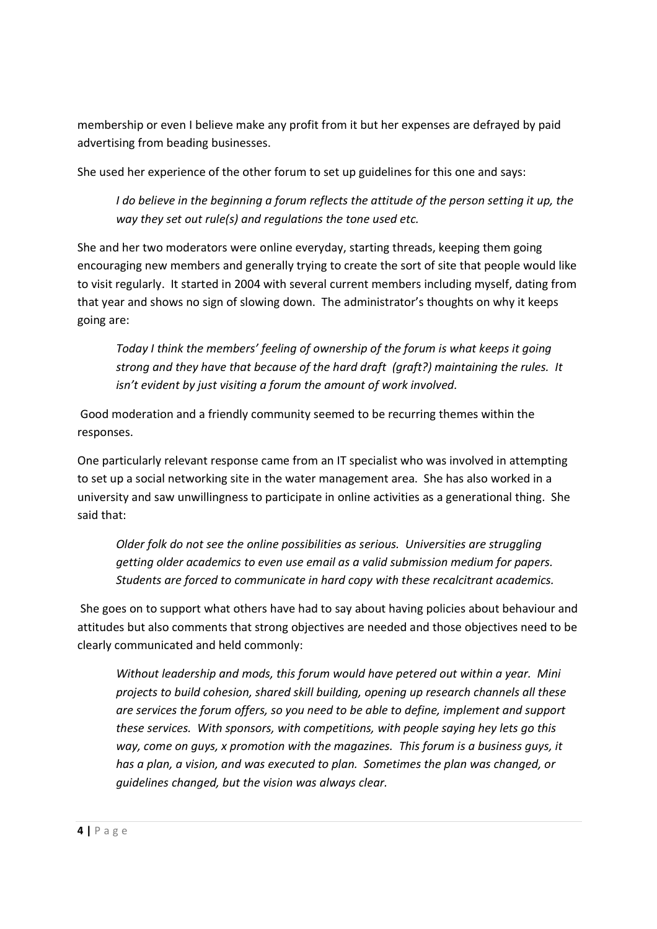membership or even I believe make any profit from it but her expenses are defrayed by paid advertising from beading businesses.

She used her experience of the other forum to set up guidelines for this one and says:

I do believe in the beginning a forum reflects the attitude of the person setting it up, the way they set out rule(s) and regulations the tone used etc.

She and her two moderators were online everyday, starting threads, keeping them going encouraging new members and generally trying to create the sort of site that people would like to visit regularly. It started in 2004 with several current members including myself, dating from that year and shows no sign of slowing down. The administrator's thoughts on why it keeps going are:

Today I think the members' feeling of ownership of the forum is what keeps it going strong and they have that because of the hard draft (graft?) maintaining the rules. It isn't evident by just visiting a forum the amount of work involved.

 Good moderation and a friendly community seemed to be recurring themes within the responses.

One particularly relevant response came from an IT specialist who was involved in attempting to set up a social networking site in the water management area. She has also worked in a university and saw unwillingness to participate in online activities as a generational thing. She said that:

Older folk do not see the online possibilities as serious. Universities are struggling getting older academics to even use email as a valid submission medium for papers. Students are forced to communicate in hard copy with these recalcitrant academics.

 She goes on to support what others have had to say about having policies about behaviour and attitudes but also comments that strong objectives are needed and those objectives need to be clearly communicated and held commonly:

Without leadership and mods, this forum would have petered out within a year. Mini projects to build cohesion, shared skill building, opening up research channels all these are services the forum offers, so you need to be able to define, implement and support these services. With sponsors, with competitions, with people saying hey lets go this way, come on guys, x promotion with the magazines. This forum is a business guys, it has a plan, a vision, and was executed to plan. Sometimes the plan was changed, or guidelines changed, but the vision was always clear.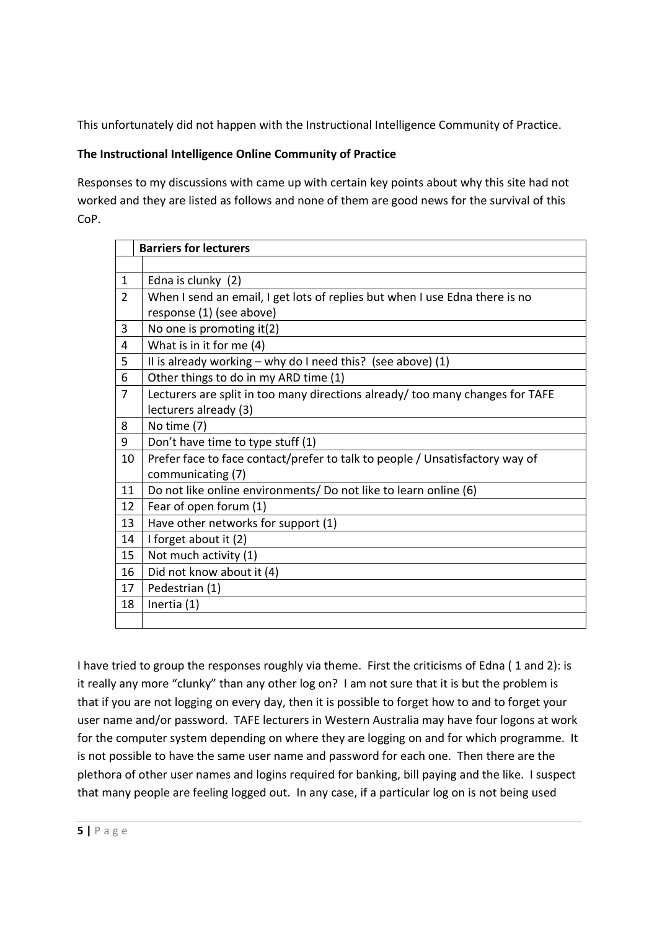This unfortunately did not happen with the Instructional Intelligence Community of Practice.

## The Instructional Intelligence Online Community of Practice

Responses to my discussions with came up with certain key points about why this site had not worked and they are listed as follows and none of them are good news for the survival of this CoP.

|                | <b>Barriers for lecturers</b>                                                 |
|----------------|-------------------------------------------------------------------------------|
|                |                                                                               |
| $\mathbf{1}$   | Edna is clunky (2)                                                            |
| $\overline{2}$ | When I send an email, I get lots of replies but when I use Edna there is no   |
|                | response (1) (see above)                                                      |
| 3              | No one is promoting it(2)                                                     |
| 4              | What is in it for me (4)                                                      |
| 5              | II is already working $-$ why do I need this? (see above) (1)                 |
| 6              | Other things to do in my ARD time (1)                                         |
| $\overline{7}$ | Lecturers are split in too many directions already/ too many changes for TAFE |
|                | lecturers already (3)                                                         |
| 8              | No time (7)                                                                   |
| 9              | Don't have time to type stuff (1)                                             |
| 10             | Prefer face to face contact/prefer to talk to people / Unsatisfactory way of  |
|                | communicating (7)                                                             |
| 11             | Do not like online environments/ Do not like to learn online (6)              |
| 12             | Fear of open forum (1)                                                        |
| 13             | Have other networks for support (1)                                           |
| 14             | I forget about it (2)                                                         |
| 15             | Not much activity (1)                                                         |
| 16             | Did not know about it (4)                                                     |
| 17             | Pedestrian (1)                                                                |
| 18             | Inertia (1)                                                                   |
|                |                                                                               |

I have tried to group the responses roughly via theme. First the criticisms of Edna ( 1 and 2): is it really any more "clunky" than any other log on? I am not sure that it is but the problem is that if you are not logging on every day, then it is possible to forget how to and to forget your user name and/or password. TAFE lecturers in Western Australia may have four logons at work for the computer system depending on where they are logging on and for which programme. It is not possible to have the same user name and password for each one. Then there are the plethora of other user names and logins required for banking, bill paying and the like. I suspect that many people are feeling logged out. In any case, if a particular log on is not being used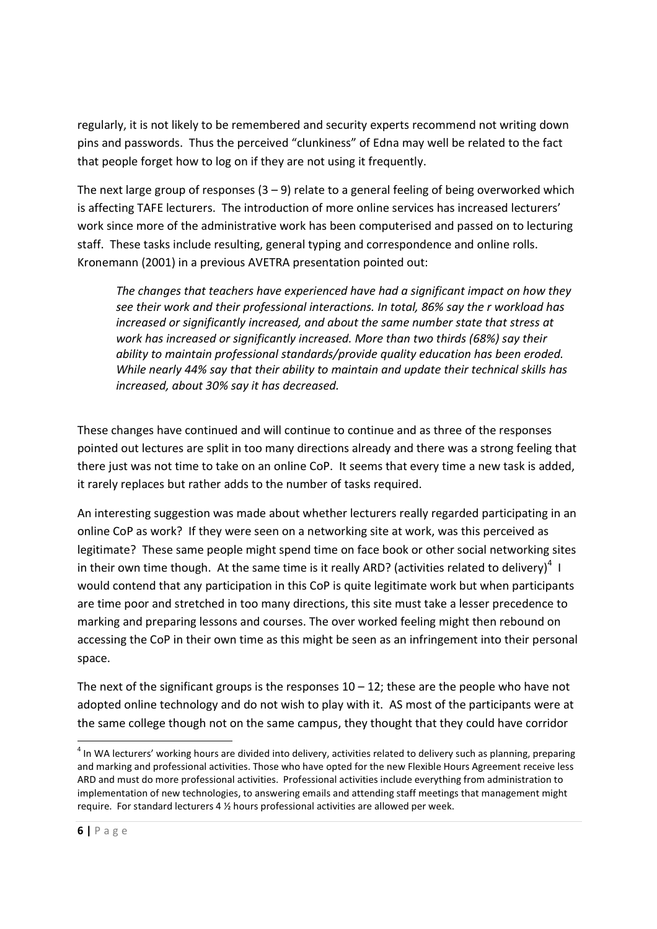regularly, it is not likely to be remembered and security experts recommend not writing down pins and passwords. Thus the perceived "clunkiness" of Edna may well be related to the fact that people forget how to log on if they are not using it frequently.

The next large group of responses  $(3 - 9)$  relate to a general feeling of being overworked which is affecting TAFE lecturers. The introduction of more online services has increased lecturers' work since more of the administrative work has been computerised and passed on to lecturing staff. These tasks include resulting, general typing and correspondence and online rolls. Kronemann (2001) in a previous AVETRA presentation pointed out:

The changes that teachers have experienced have had a significant impact on how they see their work and their professional interactions. In total, 86% say the r workload has increased or significantly increased, and about the same number state that stress at work has increased or significantly increased. More than two thirds (68%) say their ability to maintain professional standards/provide quality education has been eroded. While nearly 44% say that their ability to maintain and update their technical skills has increased, about 30% say it has decreased.

These changes have continued and will continue to continue and as three of the responses pointed out lectures are split in too many directions already and there was a strong feeling that there just was not time to take on an online CoP. It seems that every time a new task is added, it rarely replaces but rather adds to the number of tasks required.

An interesting suggestion was made about whether lecturers really regarded participating in an online CoP as work? If they were seen on a networking site at work, was this perceived as legitimate? These same people might spend time on face book or other social networking sites in their own time though. At the same time is it really ARD? (activities related to delivery)<sup>4</sup> I would contend that any participation in this CoP is quite legitimate work but when participants are time poor and stretched in too many directions, this site must take a lesser precedence to marking and preparing lessons and courses. The over worked feeling might then rebound on accessing the CoP in their own time as this might be seen as an infringement into their personal space.

The next of the significant groups is the responses  $10 - 12$ ; these are the people who have not adopted online technology and do not wish to play with it. AS most of the participants were at the same college though not on the same campus, they thought that they could have corridor

<u>.</u>

 $^4$  In WA lecturers' working hours are divided into delivery, activities related to delivery such as planning, preparing and marking and professional activities. Those who have opted for the new Flexible Hours Agreement receive less ARD and must do more professional activities. Professional activities include everything from administration to implementation of new technologies, to answering emails and attending staff meetings that management might require. For standard lecturers 4 ½ hours professional activities are allowed per week.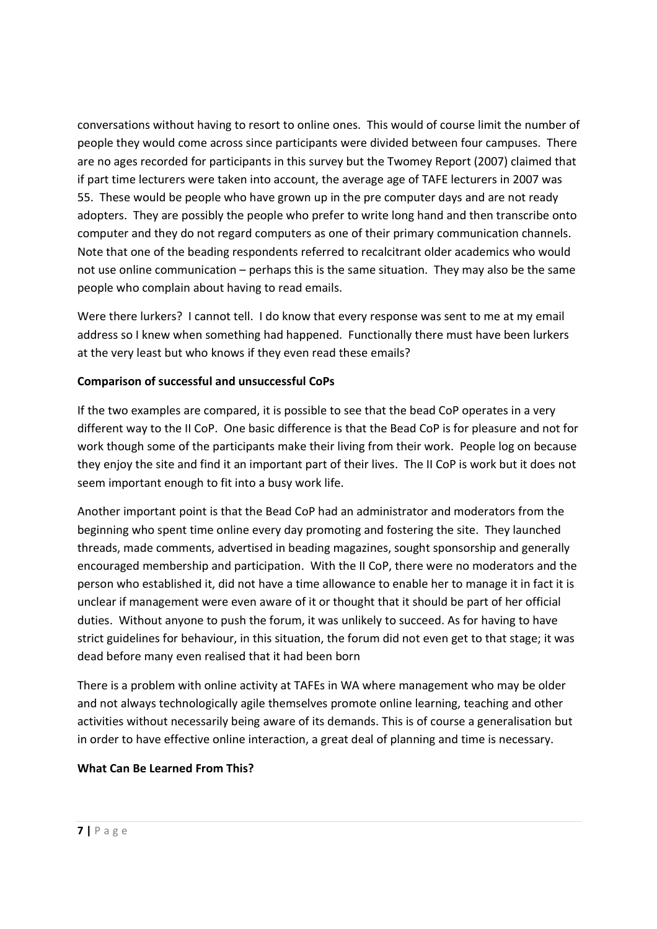conversations without having to resort to online ones. This would of course limit the number of people they would come across since participants were divided between four campuses. There are no ages recorded for participants in this survey but the Twomey Report (2007) claimed that if part time lecturers were taken into account, the average age of TAFE lecturers in 2007 was 55. These would be people who have grown up in the pre computer days and are not ready adopters. They are possibly the people who prefer to write long hand and then transcribe onto computer and they do not regard computers as one of their primary communication channels. Note that one of the beading respondents referred to recalcitrant older academics who would not use online communication – perhaps this is the same situation. They may also be the same people who complain about having to read emails.

Were there lurkers? I cannot tell. I do know that every response was sent to me at my email address so I knew when something had happened. Functionally there must have been lurkers at the very least but who knows if they even read these emails?

## Comparison of successful and unsuccessful CoPs

If the two examples are compared, it is possible to see that the bead CoP operates in a very different way to the II CoP. One basic difference is that the Bead CoP is for pleasure and not for work though some of the participants make their living from their work. People log on because they enjoy the site and find it an important part of their lives. The II CoP is work but it does not seem important enough to fit into a busy work life.

Another important point is that the Bead CoP had an administrator and moderators from the beginning who spent time online every day promoting and fostering the site. They launched threads, made comments, advertised in beading magazines, sought sponsorship and generally encouraged membership and participation. With the II CoP, there were no moderators and the person who established it, did not have a time allowance to enable her to manage it in fact it is unclear if management were even aware of it or thought that it should be part of her official duties. Without anyone to push the forum, it was unlikely to succeed. As for having to have strict guidelines for behaviour, in this situation, the forum did not even get to that stage; it was dead before many even realised that it had been born

There is a problem with online activity at TAFEs in WA where management who may be older and not always technologically agile themselves promote online learning, teaching and other activities without necessarily being aware of its demands. This is of course a generalisation but in order to have effective online interaction, a great deal of planning and time is necessary.

#### What Can Be Learned From This?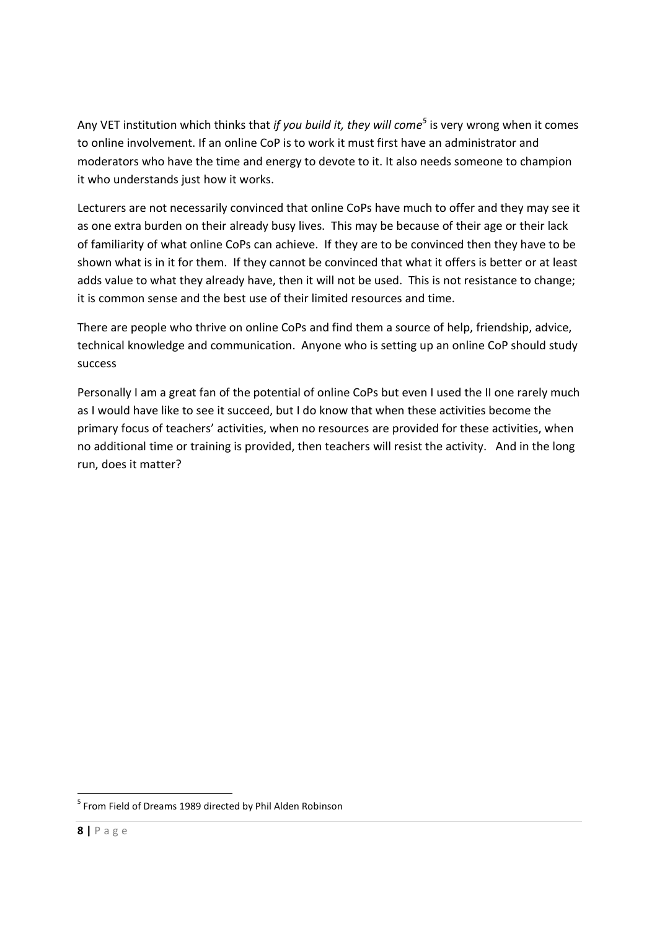Any VET institution which thinks that if you build it, they will come<sup>5</sup> is very wrong when it comes to online involvement. If an online CoP is to work it must first have an administrator and moderators who have the time and energy to devote to it. It also needs someone to champion it who understands just how it works.

Lecturers are not necessarily convinced that online CoPs have much to offer and they may see it as one extra burden on their already busy lives. This may be because of their age or their lack of familiarity of what online CoPs can achieve. If they are to be convinced then they have to be shown what is in it for them. If they cannot be convinced that what it offers is better or at least adds value to what they already have, then it will not be used. This is not resistance to change; it is common sense and the best use of their limited resources and time.

There are people who thrive on online CoPs and find them a source of help, friendship, advice, technical knowledge and communication. Anyone who is setting up an online CoP should study success

Personally I am a great fan of the potential of online CoPs but even I used the II one rarely much as I would have like to see it succeed, but I do know that when these activities become the primary focus of teachers' activities, when no resources are provided for these activities, when no additional time or training is provided, then teachers will resist the activity. And in the long run, does it matter?

.<br>-

<sup>&</sup>lt;sup>5</sup> From Field of Dreams 1989 directed by Phil Alden Robinson